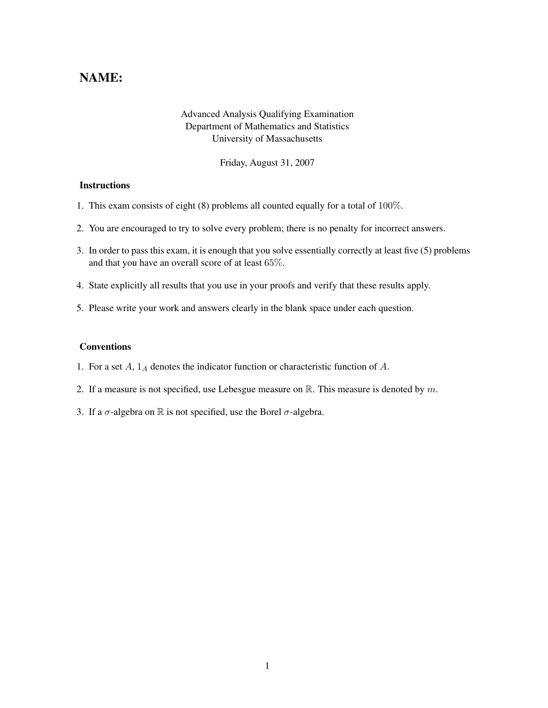## NAME:

## Advanced Analysis Qualifying Examination Department of Mathematics and Statistics University of Massachusetts

Friday, August 31, 2007

## **Instructions**

- 1. This exam consists of eight (8) problems all counted equally for a total of 100%.
- 2. You are encouraged to try to solve every problem; there is no penalty for incorrect answers.
- 3. In order to pass this exam, it is enough that you solve essentially correctly at least five (5) problems and that you have an overall score of at least 65%.
- 4. State explicitly all results that you use in your proofs and verify that these results apply.
- 5. Please write your work and answers clearly in the blank space under each question.

## Conventions

- 1. For a set  $A$ ,  $1_A$  denotes the indicator function or characteristic function of  $A$ .
- 2. If a measure is not specified, use Lebesgue measure on  $\mathbb{R}$ . This measure is denoted by m.
- 3. If a  $\sigma$ -algebra on  $\mathbb R$  is not specified, use the Borel  $\sigma$ -algebra.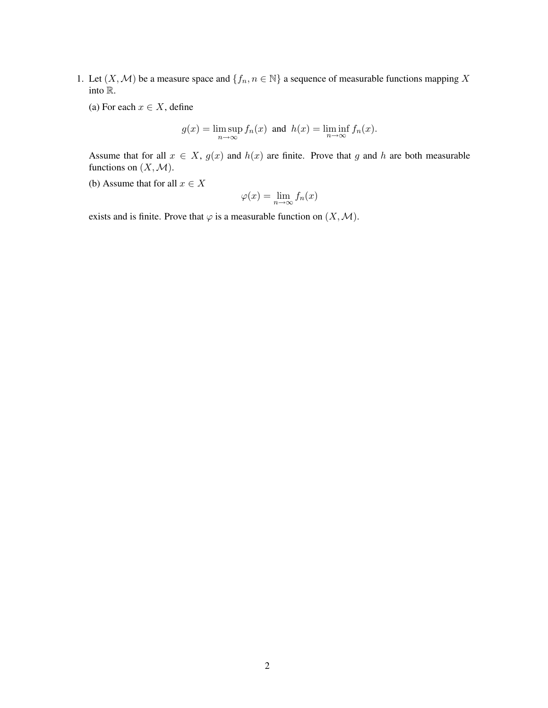- 1. Let  $(X, \mathcal{M})$  be a measure space and  $\{f_n, n \in \mathbb{N}\}\$  a sequence of measurable functions mapping X into R.
	- (a) For each  $x \in X$ , define

$$
g(x) = \limsup_{n \to \infty} f_n(x)
$$
 and  $h(x) = \liminf_{n \to \infty} f_n(x)$ .

Assume that for all  $x \in X$ ,  $g(x)$  and  $h(x)$  are finite. Prove that g and h are both measurable functions on  $(X, \mathcal{M})$ .

(b) Assume that for all  $x \in X$ 

$$
\varphi(x) = \lim_{n \to \infty} f_n(x)
$$

exists and is finite. Prove that  $\varphi$  is a measurable function on  $(X, \mathcal{M})$ .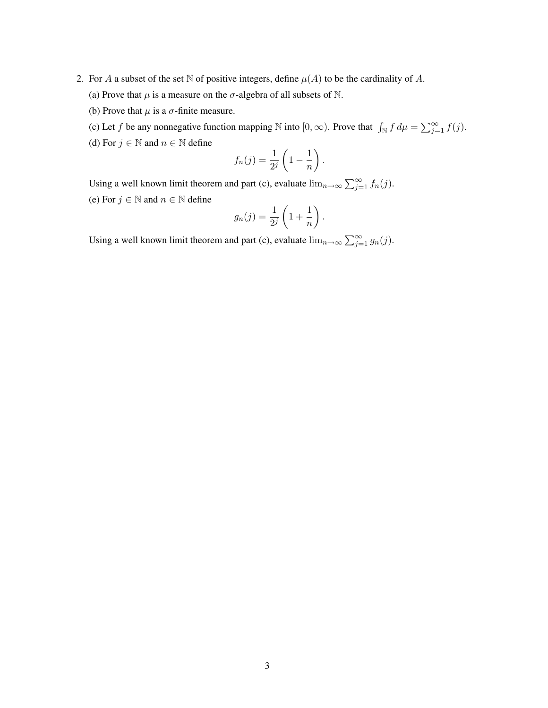- 2. For A a subset of the set N of positive integers, define  $\mu(A)$  to be the cardinality of A.
	- (a) Prove that  $\mu$  is a measure on the  $\sigma$ -algebra of all subsets of N.
	- (b) Prove that  $\mu$  is a  $\sigma$ -finite measure.
	- (c) Let f be any nonnegative function mapping  $\mathbb N$  into  $[0,\infty)$ . Prove that  $\int_{\mathbb N} f d\mu = \sum_{j=1}^{\infty} f(j)$ .
	- (d) For  $j \in \mathbb{N}$  and  $n \in \mathbb{N}$  define

$$
f_n(j) = \frac{1}{2^j} \left( 1 - \frac{1}{n} \right).
$$

Using a well known limit theorem and part (c), evaluate  $\lim_{n\to\infty}\sum_{j=1}^{\infty} f_n(j)$ . (e) For  $j \in \mathbb{N}$  and  $n \in \mathbb{N}$  define

$$
g_n(j) = \frac{1}{2^j} \left( 1 + \frac{1}{n} \right).
$$

Using a well known limit theorem and part (c), evaluate  $\lim_{n\to\infty}\sum_{j=1}^{\infty}g_n(j)$ .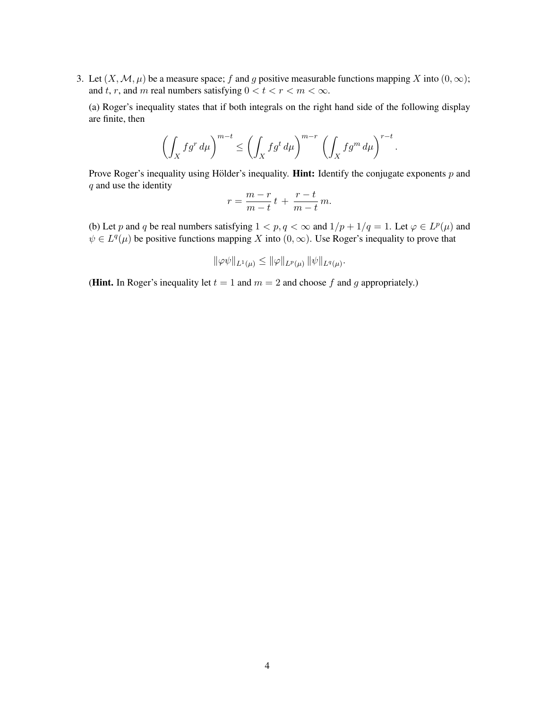3. Let  $(X, \mathcal{M}, \mu)$  be a measure space; f and g positive measurable functions mapping X into  $(0, \infty)$ ; and t, r, and m real numbers satisfying  $0 < t < r < m < \infty$ .

(a) Roger's inequality states that if both integrals on the right hand side of the following display are finite, then

$$
\left(\int_X fg^r \, d\mu\right)^{m-t} \le \left(\int_X fg^t \, d\mu\right)^{m-r} \left(\int_X fg^m \, d\mu\right)^{r-t}.
$$

Prove Roger's inequality using Hölder's inequality. **Hint:** Identify the conjugate exponents  $p$  and q and use the identity

$$
r = \frac{m-r}{m-t}t + \frac{r-t}{m-t}m.
$$

(b) Let p and q be real numbers satisfying  $1 < p, q < \infty$  and  $1/p + 1/q = 1$ . Let  $\varphi \in L^p(\mu)$  and  $\psi \in L^q(\mu)$  be positive functions mapping X into  $(0, \infty)$ . Use Roger's inequality to prove that

$$
\|\varphi\psi\|_{L^1(\mu)} \le \|\varphi\|_{L^p(\mu)} \, \|\psi\|_{L^q(\mu)}.
$$

(**Hint.** In Roger's inequality let  $t = 1$  and  $m = 2$  and choose f and g appropriately.)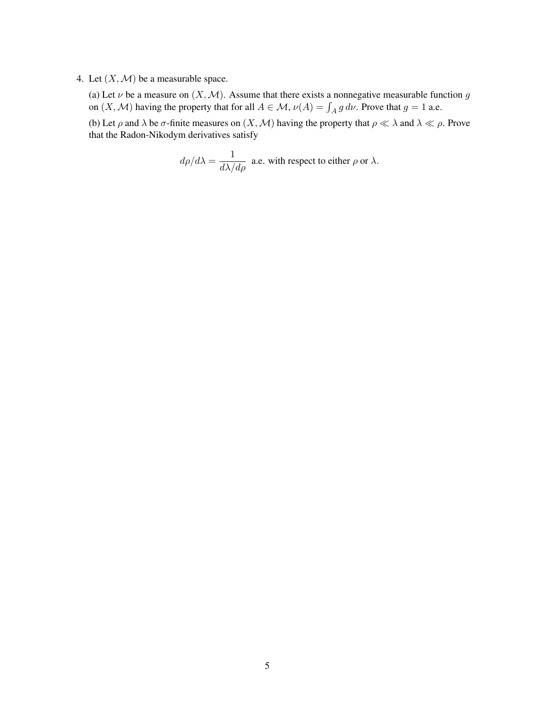4. Let  $(X, \mathcal{M})$  be a measurable space.

(a) Let  $\nu$  be a measure on  $(X, \mathcal{M})$ . Assume that there exists a nonnegative measurable function g on  $(X, \mathcal{M})$  having the property that for all  $A \in \mathcal{M}$ ,  $\nu(A) = \int_A g \, d\nu$ . Prove that  $g = 1$  a.e.

(b) Let  $\rho$  and  $\lambda$  be  $\sigma$ -finite measures on  $(X, \mathcal{M})$  having the property that  $\rho \ll \lambda$  and  $\lambda \ll \rho$ . Prove that the Radon-Nikodym derivatives satisfy

$$
d\rho/d\lambda = \frac{1}{d\lambda/d\rho}
$$
 a.e. with respect to either  $\rho$  or  $\lambda$ .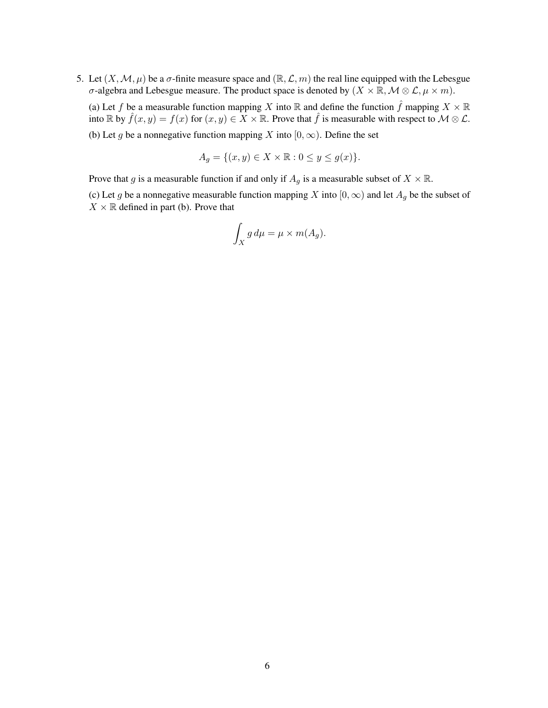5. Let  $(X, \mathcal{M}, \mu)$  be a  $\sigma$ -finite measure space and  $(\mathbb{R}, \mathcal{L}, m)$  the real line equipped with the Lebesgue σ-algebra and Lebesgue measure. The product space is denoted by  $(X \times \mathbb{R}, \mathcal{M} \otimes \mathcal{L}, \mu \times m)$ .

(a) Let f be a measurable function mapping X into R and define the function  $\hat{f}$  mapping  $X \times \mathbb{R}$ into R by  $\hat{f}(x, y) = f(x)$  for  $(x, y) \in X \times \mathbb{R}$ . Prove that  $\hat{f}$  is measurable with respect to  $\mathcal{M} \otimes \mathcal{L}$ .

(b) Let g be a nonnegative function mapping X into  $[0, \infty)$ . Define the set

$$
A_g = \{(x, y) \in X \times \mathbb{R} : 0 \le y \le g(x)\}.
$$

Prove that g is a measurable function if and only if  $A_g$  is a measurable subset of  $X \times \mathbb{R}$ .

(c) Let g be a nonnegative measurable function mapping X into  $[0, \infty)$  and let  $A_g$  be the subset of  $X \times \mathbb{R}$  defined in part (b). Prove that

$$
\int_X g \, d\mu = \mu \times m(A_g).
$$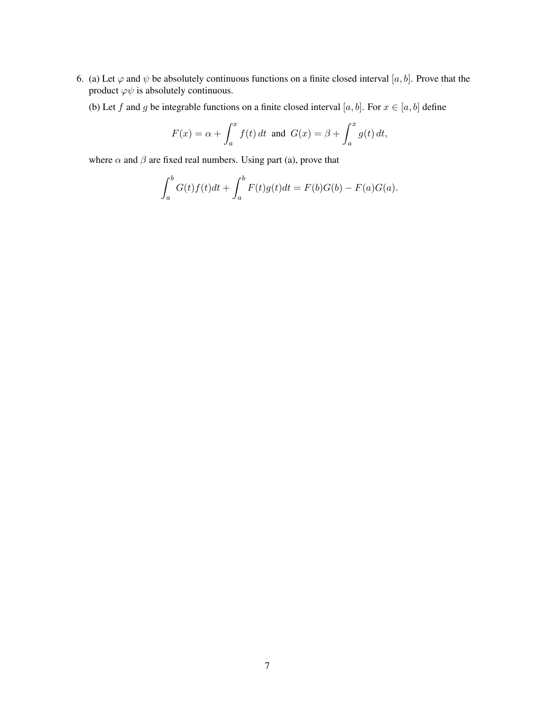- 6. (a) Let  $\varphi$  and  $\psi$  be absolutely continuous functions on a finite closed interval [a, b]. Prove that the product  $\varphi \psi$  is absolutely continuous.
	- (b) Let f and g be integrable functions on a finite closed interval [a, b]. For  $x \in [a, b]$  define

$$
F(x) = \alpha + \int_a^x f(t) dt \text{ and } G(x) = \beta + \int_a^x g(t) dt,
$$

where  $\alpha$  and  $\beta$  are fixed real numbers. Using part (a), prove that

$$
\int_a^b G(t)f(t)dt + \int_a^b F(t)g(t)dt = F(b)G(b) - F(a)G(a).
$$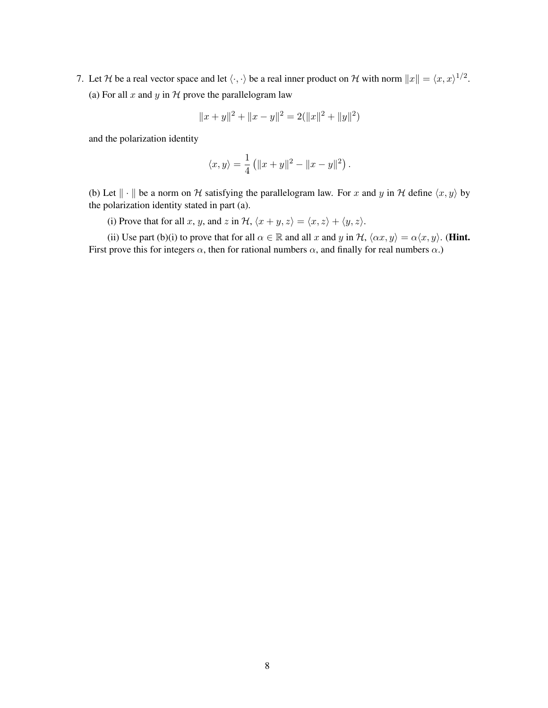7. Let H be a real vector space and let  $\langle \cdot, \cdot \rangle$  be a real inner product on H with norm  $||x|| = \langle x, x \rangle^{1/2}$ . (a) For all x and y in  $H$  prove the parallelogram law

$$
||x + y||2 + ||x - y||2 = 2(||x||2 + ||y||2)
$$

and the polarization identity

$$
\langle x, y \rangle = \frac{1}{4} (||x + y||^2 - ||x - y||^2).
$$

(b) Let  $\|\cdot\|$  be a norm on H satisfying the parallelogram law. For x and y in H define  $\langle x, y \rangle$  by the polarization identity stated in part (a).

(i) Prove that for all x, y, and z in  $H$ ,  $\langle x + y, z \rangle = \langle x, z \rangle + \langle y, z \rangle$ .

(ii) Use part (b)(i) to prove that for all  $\alpha \in \mathbb{R}$  and all x and y in  $\mathcal{H}, \langle \alpha x, y \rangle = \alpha \langle x, y \rangle$ . (**Hint.**) First prove this for integers  $\alpha$ , then for rational numbers  $\alpha$ , and finally for real numbers  $\alpha$ .)